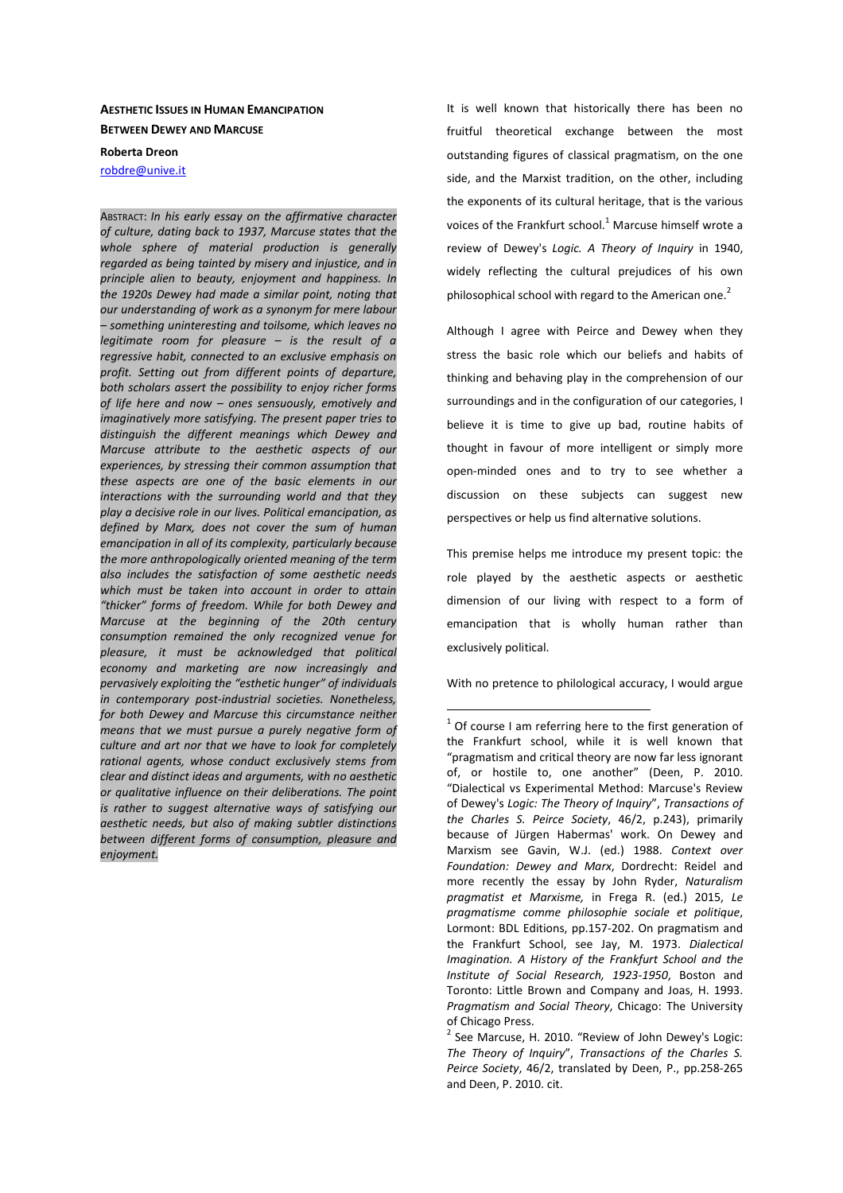# **AESTHETIC ISSUES IN HUMAN EMANCIPATION BETWEEN DEWEY AND MARCUSE**

## **Roberta Dreon**

robdre@unive.it

ABSTRACT: *In his early essay on the affirmative character of culture, dating back to 1937, Marcuse states that the whole sphere of material production is generally regarded as being tainted by misery and injustice, and in principle alien to beauty, enjoyment and happiness. In the 1920s Dewey had made a similar point, noting that our understanding of work as a synonym for mere labour – something uninteresting and toilsome, which leaves no legitimate room for pleasure – is the result of a regressive habit, connected to an exclusive emphasis on profit. Setting out from different points of departure, both scholars assert the possibility to enjoy richer forms of life here and now – ones sensuously, emotively and imaginatively more satisfying. The present paper tries to distinguish the different meanings which Dewey and Marcuse attribute to the aesthetic aspects of our experiences, by stressing their common assumption that these aspects are one of the basic elements in our interactions with the surrounding world and that they play a decisive role in our lives. Political emancipation, as defined by Marx, does not cover the sum of human emancipation in all of its complexity, particularly because the more anthropologically oriented meaning of the term also includes the satisfaction of some aesthetic needs which must be taken into account in order to attain "thicker" forms of freedom. While for both Dewey and Marcuse at the beginning of the 20th century consumption remained the only recognized venue for pleasure, it must be acknowledged that political economy and marketing are now increasingly and pervasively exploiting the "esthetic hunger" of individuals in contemporary post-industrial societies. Nonetheless, for both Dewey and Marcuse this circumstance neither means that we must pursue a purely negative form of culture and art nor that we have to look for completely rational agents, whose conduct exclusively stems from clear and distinct ideas and arguments, with no aesthetic or qualitative influence on their deliberations. The point is rather to suggest alternative ways of satisfying our aesthetic needs, but also of making subtler distinctions between different forms of consumption, pleasure and enjoyment.* 

It is well known that historically there has been no fruitful theoretical exchange between the most outstanding figures of classical pragmatism, on the one side, and the Marxist tradition, on the other, including the exponents of its cultural heritage, that is the various voices of the Frankfurt school.<sup>1</sup> Marcuse himself wrote a review of Dewey's *Logic. A Theory of Inquiry* in 1940, widely reflecting the cultural prejudices of his own philosophical school with regard to the American one.<sup>2</sup>

Although I agree with Peirce and Dewey when they stress the basic role which our beliefs and habits of thinking and behaving play in the comprehension of our surroundings and in the configuration of our categories, I believe it is time to give up bad, routine habits of thought in favour of more intelligent or simply more open-minded ones and to try to see whether a discussion on these subjects can suggest new perspectives or help us find alternative solutions.

This premise helps me introduce my present topic: the role played by the aesthetic aspects or aesthetic dimension of our living with respect to a form of emancipation that is wholly human rather than exclusively political.

With no pretence to philological accuracy, I would argue

 $1$  Of course I am referring here to the first generation of the Frankfurt school, while it is well known that "pragmatism and critical theory are now far less ignorant of, or hostile to, one another" (Deen, P. 2010. "Dialectical vs Experimental Method: Marcuse's Review of Dewey's *Logic: The Theory of Inquiry*", *Transactions of the Charles S. Peirce Society*, 46/2, p.243), primarily because of Jürgen Habermas' work. On Dewey and Marxism see Gavin, W.J. (ed.) 1988. *Context over Foundation: Dewey and Marx*, Dordrecht: Reidel and more recently the essay by John Ryder, *Naturalism pragmatist et Marxisme,* in Frega R. (ed.) 2015, *Le pragmatisme comme philosophie sociale et politique*, Lormont: BDL Editions, pp.157-202. On pragmatism and the Frankfurt School, see Jay, M. 1973. *Dialectical Imagination. A History of the Frankfurt School and the Institute of Social Research, 1923-1950*, Boston and Toronto: Little Brown and Company and Joas, H. 1993. *Pragmatism and Social Theory*, Chicago: The University of Chicago Press.

 $2$  See Marcuse, H. 2010. "Review of John Dewey's Logic: *The Theory of Inquiry*", *Transactions of the Charles S. Peirce Society*, 46/2, translated by Deen, P., pp.258-265 and Deen, P. 2010. cit.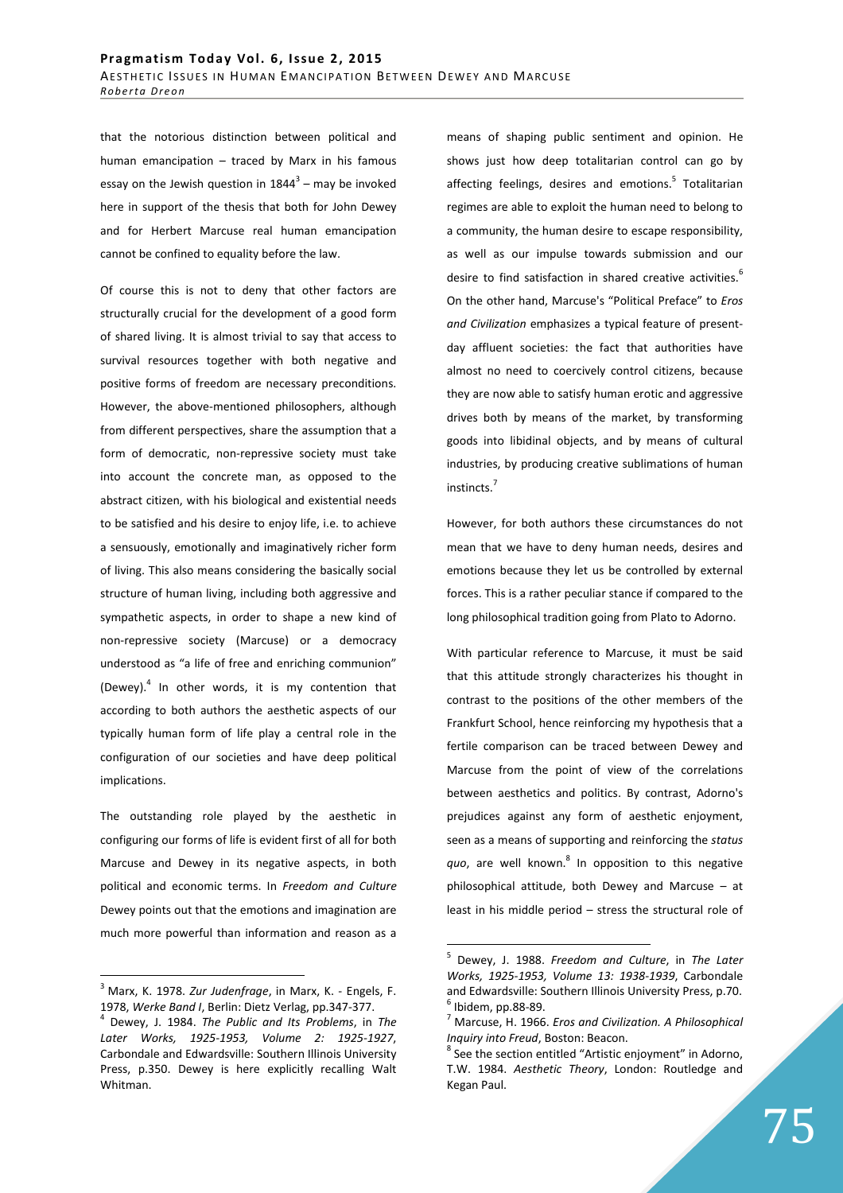that the notorious distinction between political and human emancipation – traced by Marx in his famous essay on the Jewish question in  $1844^3$  – may be invoked here in support of the thesis that both for John Dewey and for Herbert Marcuse real human emancipation cannot be confined to equality before the law.

Of course this is not to deny that other factors are structurally crucial for the development of a good form of shared living. It is almost trivial to say that access to survival resources together with both negative and positive forms of freedom are necessary preconditions. However, the above-mentioned philosophers, although from different perspectives, share the assumption that a form of democratic, non-repressive society must take into account the concrete man, as opposed to the abstract citizen, with his biological and existential needs to be satisfied and his desire to enjoy life, i.e. to achieve a sensuously, emotionally and imaginatively richer form of living. This also means considering the basically social structure of human living, including both aggressive and sympathetic aspects, in order to shape a new kind of non-repressive society (Marcuse) or a democracy understood as "a life of free and enriching communion" (Dewey). $4$  In other words, it is my contention that according to both authors the aesthetic aspects of our typically human form of life play a central role in the configuration of our societies and have deep political implications.

The outstanding role played by the aesthetic in configuring our forms of life is evident first of all for both Marcuse and Dewey in its negative aspects, in both political and economic terms. In *Freedom and Culture* Dewey points out that the emotions and imagination are much more powerful than information and reason as a

 $\overline{a}$ 

means of shaping public sentiment and opinion. He shows just how deep totalitarian control can go by affecting feelings, desires and emotions.<sup>5</sup> Totalitarian regimes are able to exploit the human need to belong to a community, the human desire to escape responsibility, as well as our impulse towards submission and our desire to find satisfaction in shared creative activities.<sup>6</sup> On the other hand, Marcuse's "Political Preface" to *Eros and Civilization* emphasizes a typical feature of presentday affluent societies: the fact that authorities have almost no need to coercively control citizens, because they are now able to satisfy human erotic and aggressive drives both by means of the market, by transforming goods into libidinal objects, and by means of cultural industries, by producing creative sublimations of human instincts.<sup>7</sup>

However, for both authors these circumstances do not mean that we have to deny human needs, desires and emotions because they let us be controlled by external forces. This is a rather peculiar stance if compared to the long philosophical tradition going from Plato to Adorno.

With particular reference to Marcuse, it must be said that this attitude strongly characterizes his thought in contrast to the positions of the other members of the Frankfurt School, hence reinforcing my hypothesis that a fertile comparison can be traced between Dewey and Marcuse from the point of view of the correlations between aesthetics and politics. By contrast, Adorno's prejudices against any form of aesthetic enjoyment, seen as a means of supporting and reinforcing the *status*  quo, are well known.<sup>8</sup> In opposition to this negative philosophical attitude, both Dewey and Marcuse – at least in his middle period – stress the structural role of

<sup>3</sup>Marx, K. 1978. *Zur Judenfrage*, in Marx, K. - Engels, F. 1978, *Werke Band I*, Berlin: Dietz Verlag, pp.347-377.

<sup>4</sup> Dewey, J. 1984. *The Public and Its Problems*, in *The Later Works, 1925-1953, Volume 2: 1925-1927*, Carbondale and Edwardsville: Southern Illinois University Press, p.350. Dewey is here explicitly recalling Walt Whitman.

<sup>5</sup> Dewey, J. 1988. *Freedom and Culture*, in *The Later Works, 1925-1953, Volume 13: 1938-1939*, Carbondale and Edwardsville: Southern Illinois University Press, p.70.  $<sup>6</sup>$  Ibidem, pp.88-89.</sup>

<sup>7</sup> Marcuse, H. 1966. *Eros and Civilization. A Philosophical Inquiry into Freud*, Boston: Beacon.

<sup>&</sup>lt;sup>8</sup> See the section entitled "Artistic enjoyment" in Adorno, T.W. 1984. *Aesthetic Theory*, London: Routledge and Kegan Paul.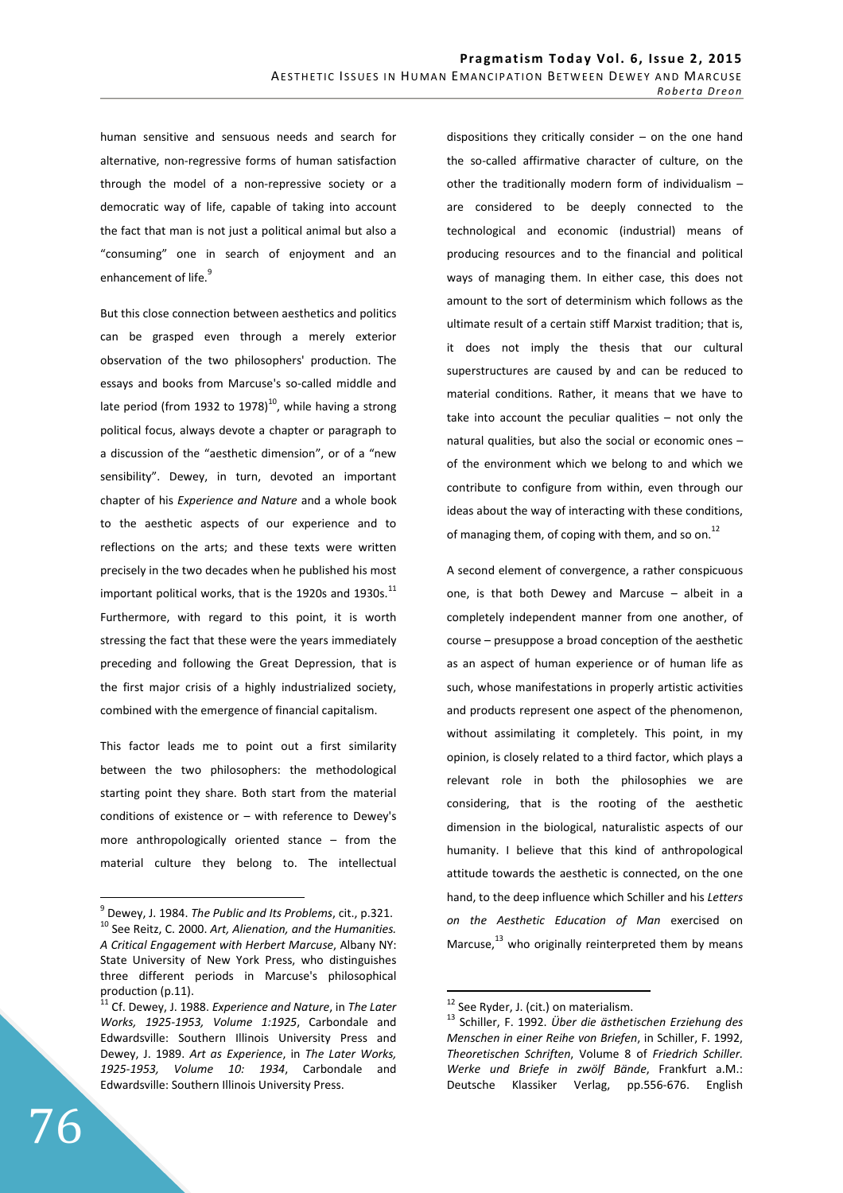human sensitive and sensuous needs and search for alternative, non-regressive forms of human satisfaction through the model of a non-repressive society or a democratic way of life, capable of taking into account the fact that man is not just a political animal but also a "consuming" one in search of enjoyment and an enhancement of life.<sup>9</sup>

But this close connection between aesthetics and politics can be grasped even through a merely exterior observation of the two philosophers' production. The essays and books from Marcuse's so-called middle and late period (from 1932 to 1978) $^{10}$ , while having a strong political focus, always devote a chapter or paragraph to a discussion of the "aesthetic dimension", or of a "new sensibility". Dewey, in turn, devoted an important chapter of his *Experience and Nature* and a whole book to the aesthetic aspects of our experience and to reflections on the arts; and these texts were written precisely in the two decades when he published his most important political works, that is the 1920s and 1930s.<sup>11</sup> Furthermore, with regard to this point, it is worth stressing the fact that these were the years immediately preceding and following the Great Depression, that is the first major crisis of a highly industrialized society, combined with the emergence of financial capitalism.

This factor leads me to point out a first similarity between the two philosophers: the methodological starting point they share. Both start from the material conditions of existence or – with reference to Dewey's more anthropologically oriented stance – from the material culture they belong to. The intellectual

dispositions they critically consider – on the one hand the so-called affirmative character of culture, on the other the traditionally modern form of individualism – are considered to be deeply connected to the technological and economic (industrial) means of producing resources and to the financial and political ways of managing them. In either case, this does not amount to the sort of determinism which follows as the ultimate result of a certain stiff Marxist tradition; that is, it does not imply the thesis that our cultural superstructures are caused by and can be reduced to material conditions. Rather, it means that we have to take into account the peculiar qualities – not only the natural qualities, but also the social or economic ones – of the environment which we belong to and which we contribute to configure from within, even through our ideas about the way of interacting with these conditions, of managing them, of coping with them, and so on. $^{12}$ 

A second element of convergence, a rather conspicuous one, is that both Dewey and Marcuse – albeit in a completely independent manner from one another, of course – presuppose a broad conception of the aesthetic as an aspect of human experience or of human life as such, whose manifestations in properly artistic activities and products represent one aspect of the phenomenon, without assimilating it completely. This point, in my opinion, is closely related to a third factor, which plays a relevant role in both the philosophies we are considering, that is the rooting of the aesthetic dimension in the biological, naturalistic aspects of our humanity. I believe that this kind of anthropological attitude towards the aesthetic is connected, on the one hand, to the deep influence which Schiller and his *Letters on the Aesthetic Education of Man* exercised on Marcuse. $^{13}$  who originally reinterpreted them by means

 $\overline{a}$ 

<sup>9</sup> Dewey, J. 1984. *The Public and Its Problems*, cit., p.321. <sup>10</sup> See Reitz, C. 2000. *Art, Alienation, and the Humanities. A Critical Engagement with Herbert Marcuse*, Albany NY: State University of New York Press, who distinguishes three different periods in Marcuse's philosophical production (p.11).

<sup>11</sup> Cf. Dewey, J. 1988. *Experience and Nature*, in *The Later Works, 1925-1953, Volume 1:1925*, Carbondale and Edwardsville: Southern Illinois University Press and Dewey, J. 1989. *Art as Experience*, in *The Later Works, 1925-1953, Volume 10: 1934*, Carbondale and Edwardsville: Southern Illinois University Press.

 $12$  See Ryder, J. (cit.) on materialism.

<sup>13</sup> Schiller, F. 1992. *Über die ästhetischen Erziehung des Menschen in einer Reihe von Briefen*, in Schiller, F. 1992, *Theoretischen Schriften*, Volume 8 of *Friedrich Schiller. Werke und Briefe in zwölf Bände*, Frankfurt a.M.: Deutsche Klassiker Verlag, pp.556-676. English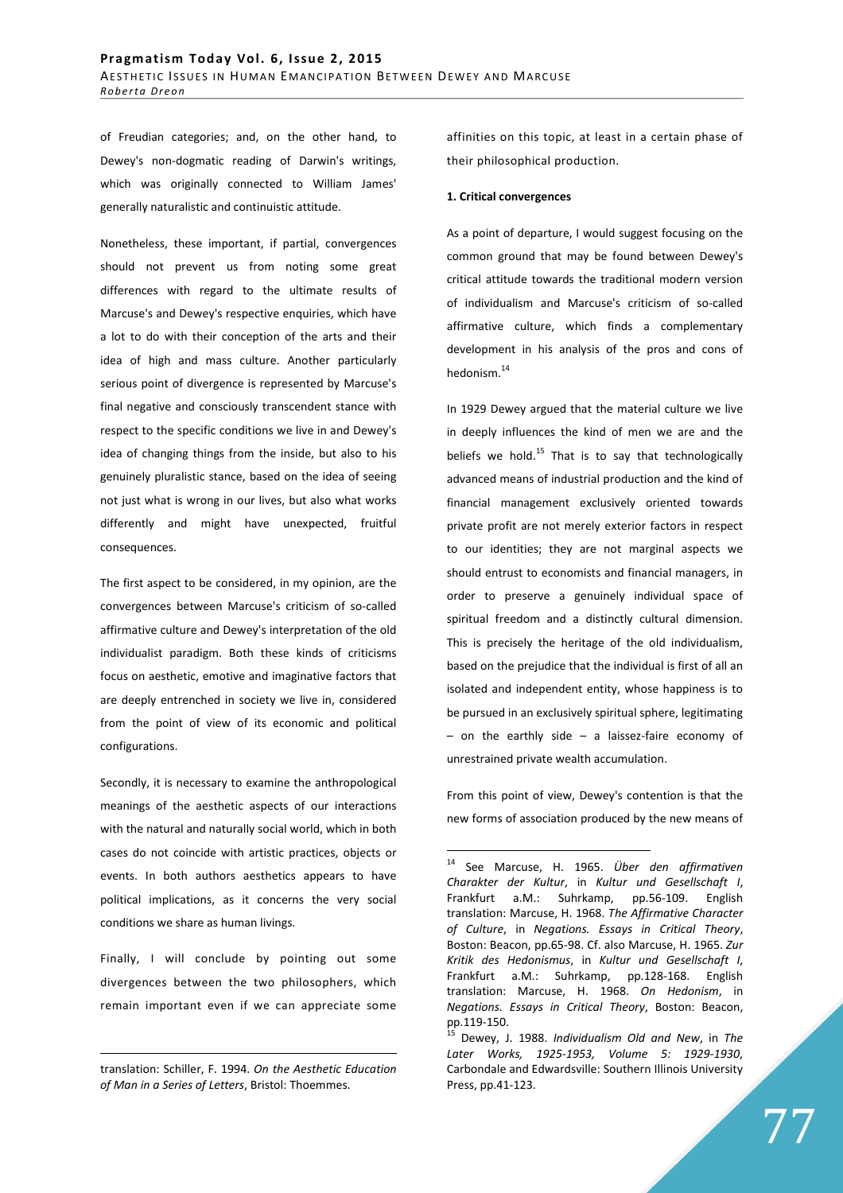of Freudian categories; and, on the other hand, to Dewey's non-dogmatic reading of Darwin's writings, which was originally connected to William James' generally naturalistic and continuistic attitude.

Nonetheless, these important, if partial, convergences should not prevent us from noting some great differences with regard to the ultimate results of Marcuse's and Dewey's respective enquiries, which have a lot to do with their conception of the arts and their idea of high and mass culture. Another particularly serious point of divergence is represented by Marcuse's final negative and consciously transcendent stance with respect to the specific conditions we live in and Dewey's idea of changing things from the inside, but also to his genuinely pluralistic stance, based on the idea of seeing not just what is wrong in our lives, but also what works differently and might have unexpected, fruitful consequences.

The first aspect to be considered, in my opinion, are the convergences between Marcuse's criticism of so-called affirmative culture and Dewey's interpretation of the old individualist paradigm. Both these kinds of criticisms focus on aesthetic, emotive and imaginative factors that are deeply entrenched in society we live in, considered from the point of view of its economic and political configurations.

Secondly, it is necessary to examine the anthropological meanings of the aesthetic aspects of our interactions with the natural and naturally social world, which in both cases do not coincide with artistic practices, objects or events. In both authors aesthetics appears to have political implications, as it concerns the very social conditions we share as human livings.

Finally, I will conclude by pointing out some divergences between the two philosophers, which remain important even if we can appreciate some

<u>.</u>

affinities on this topic, at least in a certain phase of their philosophical production.

### **1. Critical convergences**

As a point of departure, I would suggest focusing on the common ground that may be found between Dewey's critical attitude towards the traditional modern version of individualism and Marcuse's criticism of so-called affirmative culture, which finds a complementary development in his analysis of the pros and cons of hedonism.<sup>14</sup>

In 1929 Dewey argued that the material culture we live in deeply influences the kind of men we are and the beliefs we hold.<sup>15</sup> That is to say that technologically advanced means of industrial production and the kind of financial management exclusively oriented towards private profit are not merely exterior factors in respect to our identities; they are not marginal aspects we should entrust to economists and financial managers, in order to preserve a genuinely individual space of spiritual freedom and a distinctly cultural dimension. This is precisely the heritage of the old individualism, based on the prejudice that the individual is first of all an isolated and independent entity, whose happiness is to be pursued in an exclusively spiritual sphere, legitimating – on the earthly side – a laissez-faire economy of unrestrained private wealth accumulation.

From this point of view, Dewey's contention is that the new forms of association produced by the new means of

translation: Schiller, F. 1994. *On the Aesthetic Education of Man in a Series of Letters*, Bristol: Thoemmes.

<sup>14</sup> See Marcuse, H. 1965. *Über den affirmativen Charakter der Kultur*, in *Kultur und Gesellschaft I*, Frankfurt a.M.: Suhrkamp, pp.56-109. English translation: Marcuse, H. 1968. *The Affirmative Character of Culture*, in *Negations. Essays in Critical Theory*, Boston: Beacon, pp.65-98. Cf. also Marcuse, H. 1965. *Zur Kritik des Hedonismus*, in *Kultur und Gesellschaft I*, Frankfurt a.M.: Suhrkamp, pp.128-168. English translation: Marcuse, H. 1968. *On Hedonism*, in *Negations. Essays in Critical Theory*, Boston: Beacon, pp.119-150.

<sup>15</sup> Dewey, J. 1988. *Individualism Old and New*, in *The Later Works, 1925-1953, Volume 5: 1929-1930*, Carbondale and Edwardsville: Southern Illinois University Press, pp.41-123.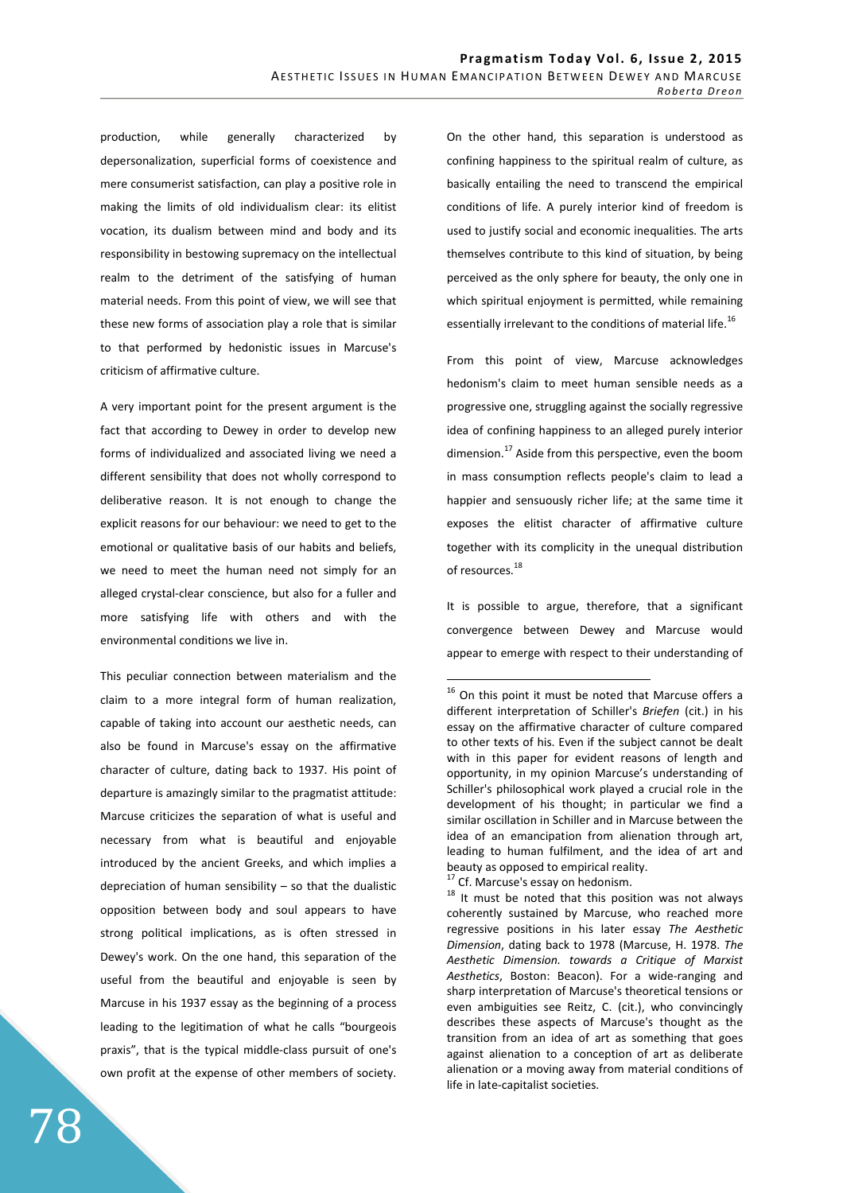production, while generally characterized by depersonalization, superficial forms of coexistence and mere consumerist satisfaction, can play a positive role in making the limits of old individualism clear: its elitist vocation, its dualism between mind and body and its responsibility in bestowing supremacy on the intellectual realm to the detriment of the satisfying of human material needs. From this point of view, we will see that these new forms of association play a role that is similar to that performed by hedonistic issues in Marcuse's criticism of affirmative culture.

A very important point for the present argument is the fact that according to Dewey in order to develop new forms of individualized and associated living we need a different sensibility that does not wholly correspond to deliberative reason. It is not enough to change the explicit reasons for our behaviour: we need to get to the emotional or qualitative basis of our habits and beliefs, we need to meet the human need not simply for an alleged crystal-clear conscience, but also for a fuller and more satisfying life with others and with the environmental conditions we live in.

This peculiar connection between materialism and the claim to a more integral form of human realization, capable of taking into account our aesthetic needs, can also be found in Marcuse's essay on the affirmative character of culture, dating back to 1937. His point of departure is amazingly similar to the pragmatist attitude: Marcuse criticizes the separation of what is useful and necessary from what is beautiful and enjoyable introduced by the ancient Greeks, and which implies a depreciation of human sensibility  $-$  so that the dualistic opposition between body and soul appears to have strong political implications, as is often stressed in Dewey's work. On the one hand, this separation of the useful from the beautiful and enjoyable is seen by Marcuse in his 1937 essay as the beginning of a process leading to the legitimation of what he calls "bourgeois praxis", that is the typical middle-class pursuit of one's own profit at the expense of other members of society. On the other hand, this separation is understood as confining happiness to the spiritual realm of culture, as basically entailing the need to transcend the empirical conditions of life. A purely interior kind of freedom is used to justify social and economic inequalities. The arts themselves contribute to this kind of situation, by being perceived as the only sphere for beauty, the only one in which spiritual enjoyment is permitted, while remaining essentially irrelevant to the conditions of material life.<sup>16</sup>

From this point of view, Marcuse acknowledges hedonism's claim to meet human sensible needs as a progressive one, struggling against the socially regressive idea of confining happiness to an alleged purely interior dimension. $^{17}$  Aside from this perspective, even the boom in mass consumption reflects people's claim to lead a happier and sensuously richer life; at the same time it exposes the elitist character of affirmative culture together with its complicity in the unequal distribution of resources.<sup>18</sup>

It is possible to argue, therefore, that a significant convergence between Dewey and Marcuse would appear to emerge with respect to their understanding of

<sup>17</sup> Cf. Marcuse's essay on hedonism.

 $\overline{a}$ 

 $18$  It must be noted that this position was not always coherently sustained by Marcuse, who reached more regressive positions in his later essay *The Aesthetic Dimension*, dating back to 1978 (Marcuse, H. 1978. *The Aesthetic Dimension. towards a Critique of Marxist Aesthetics*, Boston: Beacon). For a wide-ranging and sharp interpretation of Marcuse's theoretical tensions or even ambiguities see Reitz, C. (cit.), who convincingly describes these aspects of Marcuse's thought as the transition from an idea of art as something that goes against alienation to a conception of art as deliberate alienation or a moving away from material conditions of life in late-capitalist societies.

<sup>&</sup>lt;sup>16</sup> On this point it must be noted that Marcuse offers a different interpretation of Schiller's *Briefen* (cit.) in his essay on the affirmative character of culture compared to other texts of his. Even if the subject cannot be dealt with in this paper for evident reasons of length and opportunity, in my opinion Marcuse's understanding of Schiller's philosophical work played a crucial role in the development of his thought; in particular we find a similar oscillation in Schiller and in Marcuse between the idea of an emancipation from alienation through art, leading to human fulfilment, and the idea of art and beauty as opposed to empirical reality.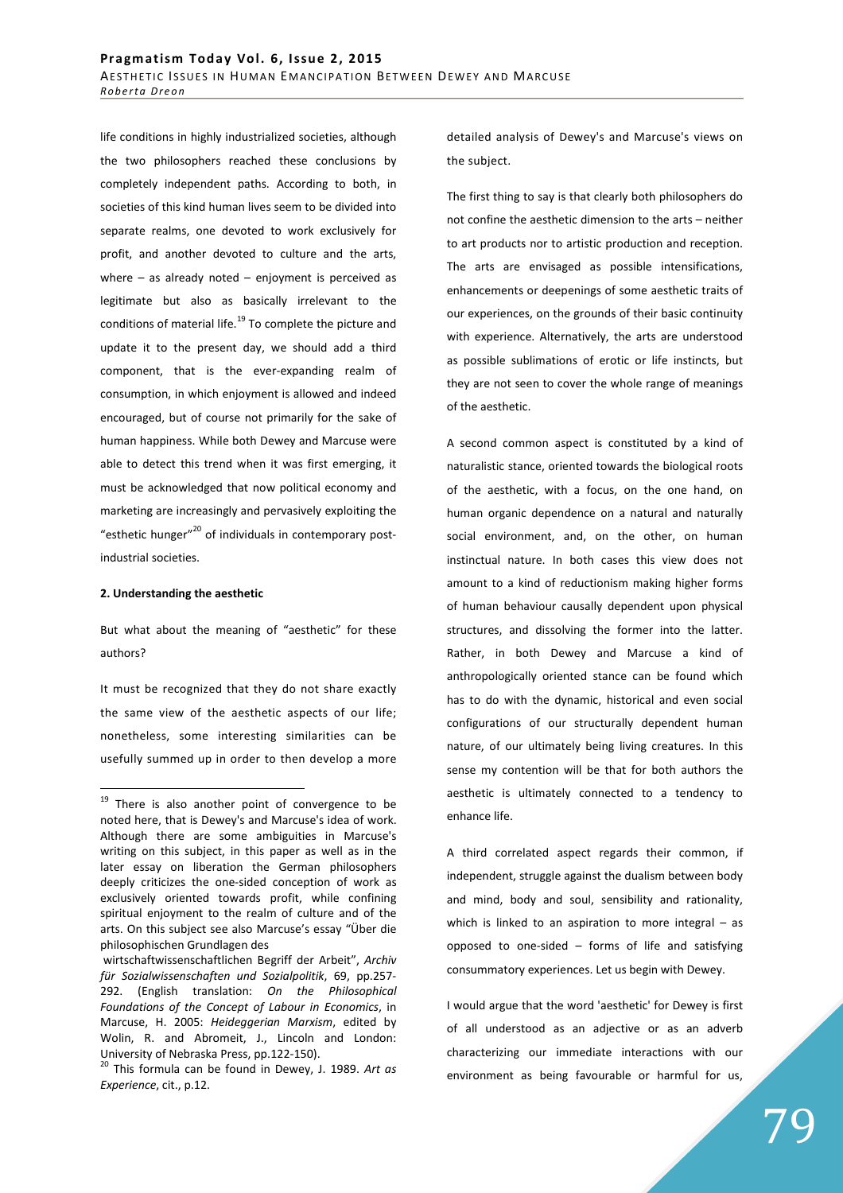life conditions in highly industrialized societies, although the two philosophers reached these conclusions by completely independent paths. According to both, in societies of this kind human lives seem to be divided into separate realms, one devoted to work exclusively for profit, and another devoted to culture and the arts, where  $-$  as already noted  $-$  enjoyment is perceived as legitimate but also as basically irrelevant to the conditions of material life. $^{19}$  To complete the picture and update it to the present day, we should add a third component, that is the ever-expanding realm of consumption, in which enjoyment is allowed and indeed encouraged, but of course not primarily for the sake of human happiness. While both Dewey and Marcuse were able to detect this trend when it was first emerging, it must be acknowledged that now political economy and marketing are increasingly and pervasively exploiting the "esthetic hunger"<sup>20</sup> of individuals in contemporary postindustrial societies.

#### **2. Understanding the aesthetic**

 $\overline{a}$ 

But what about the meaning of "aesthetic" for these authors?

It must be recognized that they do not share exactly the same view of the aesthetic aspects of our life; nonetheless, some interesting similarities can be usefully summed up in order to then develop a more

detailed analysis of Dewey's and Marcuse's views on the subject.

The first thing to say is that clearly both philosophers do not confine the aesthetic dimension to the arts – neither to art products nor to artistic production and reception. The arts are envisaged as possible intensifications, enhancements or deepenings of some aesthetic traits of our experiences, on the grounds of their basic continuity with experience. Alternatively, the arts are understood as possible sublimations of erotic or life instincts, but they are not seen to cover the whole range of meanings of the aesthetic.

A second common aspect is constituted by a kind of naturalistic stance, oriented towards the biological roots of the aesthetic, with a focus, on the one hand, on human organic dependence on a natural and naturally social environment, and, on the other, on human instinctual nature. In both cases this view does not amount to a kind of reductionism making higher forms of human behaviour causally dependent upon physical structures, and dissolving the former into the latter. Rather, in both Dewey and Marcuse a kind of anthropologically oriented stance can be found which has to do with the dynamic, historical and even social configurations of our structurally dependent human nature, of our ultimately being living creatures. In this sense my contention will be that for both authors the aesthetic is ultimately connected to a tendency to enhance life.

A third correlated aspect regards their common, if independent, struggle against the dualism between body and mind, body and soul, sensibility and rationality, which is linked to an aspiration to more integral – as opposed to one-sided – forms of life and satisfying consummatory experiences. Let us begin with Dewey.

I would argue that the word 'aesthetic' for Dewey is first of all understood as an adjective or as an adverb characterizing our immediate interactions with our environment as being favourable or harmful for us,

 $19$  There is also another point of convergence to be noted here, that is Dewey's and Marcuse's idea of work. Although there are some ambiguities in Marcuse's writing on this subject, in this paper as well as in the later essay on liberation the German philosophers deeply criticizes the one-sided conception of work as exclusively oriented towards profit, while confining spiritual enjoyment to the realm of culture and of the arts. On this subject see also Marcuse's essay "Über die philosophischen Grundlagen des

wirtschaftwissenschaftlichen Begriff der Arbeit", *Archiv für Sozialwissenschaften und Sozialpolitik*, 69, pp.257- 292. (English translation: *On the Philosophical Foundations of the Concept of Labour in Economics*, in Marcuse, H. 2005: *Heideggerian Marxism*, edited by Wolin, R. and Abromeit, J., Lincoln and London: University of Nebraska Press, pp.122-150).

<sup>20</sup> This formula can be found in Dewey, J. 1989. *Art as Experience*, cit., p.12.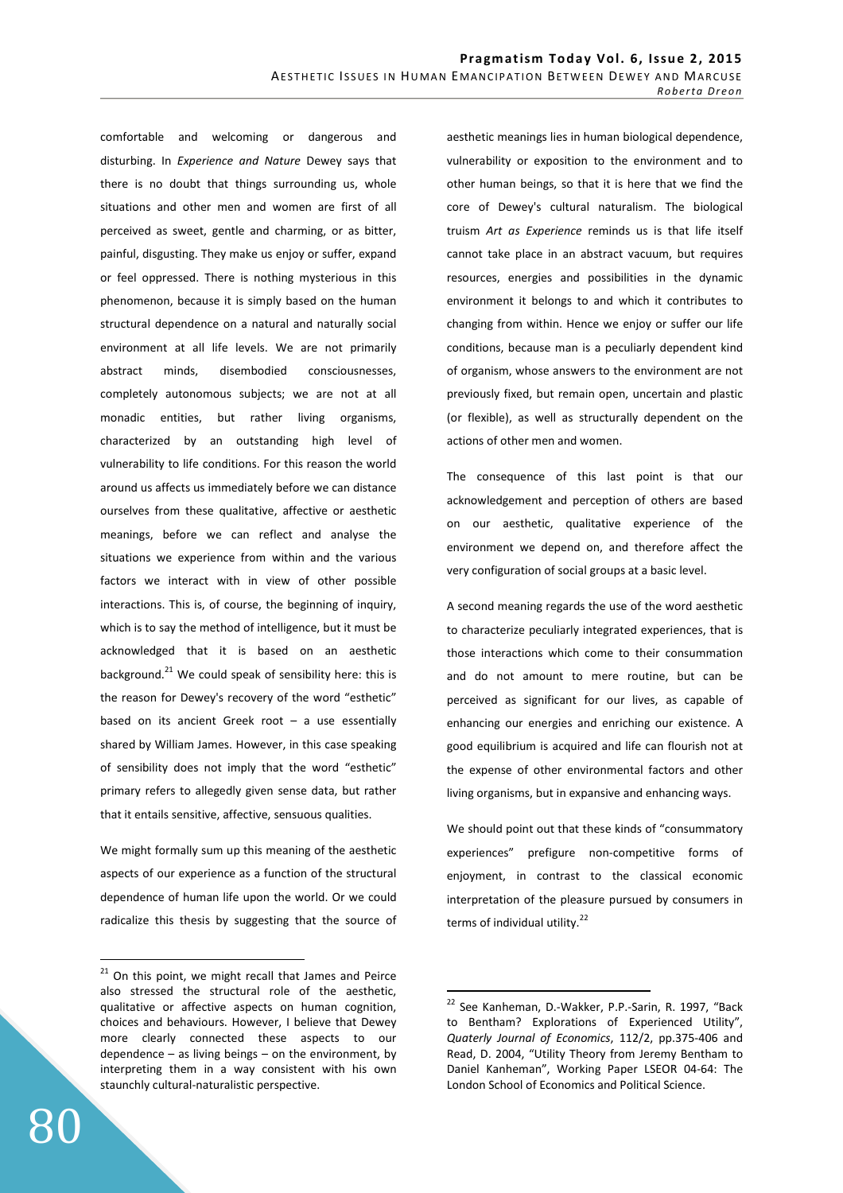comfortable and welcoming or dangerous and disturbing. In *Experience and Nature* Dewey says that there is no doubt that things surrounding us, whole situations and other men and women are first of all perceived as sweet, gentle and charming, or as bitter, painful, disgusting. They make us enjoy or suffer, expand or feel oppressed. There is nothing mysterious in this phenomenon, because it is simply based on the human structural dependence on a natural and naturally social environment at all life levels. We are not primarily abstract minds, disembodied consciousnesses, completely autonomous subjects; we are not at all monadic entities, but rather living organisms, characterized by an outstanding high level of vulnerability to life conditions. For this reason the world around us affects us immediately before we can distance ourselves from these qualitative, affective or aesthetic meanings, before we can reflect and analyse the situations we experience from within and the various factors we interact with in view of other possible interactions. This is, of course, the beginning of inquiry, which is to say the method of intelligence, but it must be acknowledged that it is based on an aesthetic background. $^{21}$  We could speak of sensibility here: this is the reason for Dewey's recovery of the word "esthetic" based on its ancient Greek root  $-$  a use essentially shared by William James. However, in this case speaking of sensibility does not imply that the word "esthetic" primary refers to allegedly given sense data, but rather that it entails sensitive, affective, sensuous qualities.

We might formally sum up this meaning of the aesthetic aspects of our experience as a function of the structural dependence of human life upon the world. Or we could radicalize this thesis by suggesting that the source of aesthetic meanings lies in human biological dependence, vulnerability or exposition to the environment and to other human beings, so that it is here that we find the core of Dewey's cultural naturalism. The biological truism *Art as Experience* reminds us is that life itself cannot take place in an abstract vacuum, but requires resources, energies and possibilities in the dynamic environment it belongs to and which it contributes to changing from within. Hence we enjoy or suffer our life conditions, because man is a peculiarly dependent kind of organism, whose answers to the environment are not previously fixed, but remain open, uncertain and plastic (or flexible), as well as structurally dependent on the actions of other men and women.

The consequence of this last point is that our acknowledgement and perception of others are based on our aesthetic, qualitative experience of the environment we depend on, and therefore affect the very configuration of social groups at a basic level.

A second meaning regards the use of the word aesthetic to characterize peculiarly integrated experiences, that is those interactions which come to their consummation and do not amount to mere routine, but can be perceived as significant for our lives, as capable of enhancing our energies and enriching our existence. A good equilibrium is acquired and life can flourish not at the expense of other environmental factors and other living organisms, but in expansive and enhancing ways.

We should point out that these kinds of "consummatory experiences" prefigure non-competitive forms of enjoyment, in contrast to the classical economic interpretation of the pleasure pursued by consumers in terms of individual utility. $22$ 

 $\overline{a}$ 

 $21$  On this point, we might recall that James and Peirce also stressed the structural role of the aesthetic, qualitative or affective aspects on human cognition, choices and behaviours. However, I believe that Dewey more clearly connected these aspects to our dependence  $-$  as living beings  $-$  on the environment, by interpreting them in a way consistent with his own staunchly cultural-naturalistic perspective.

<sup>&</sup>lt;sup>22</sup> See Kanheman, D.-Wakker, P.P.-Sarin, R. 1997, "Back to Bentham? Explorations of Experienced Utility", *Quaterly Journal of Economics*, 112/2, pp.375-406 and Read, D. 2004, "Utility Theory from Jeremy Bentham to Daniel Kanheman", Working Paper LSEOR 04-64: The London School of Economics and Political Science.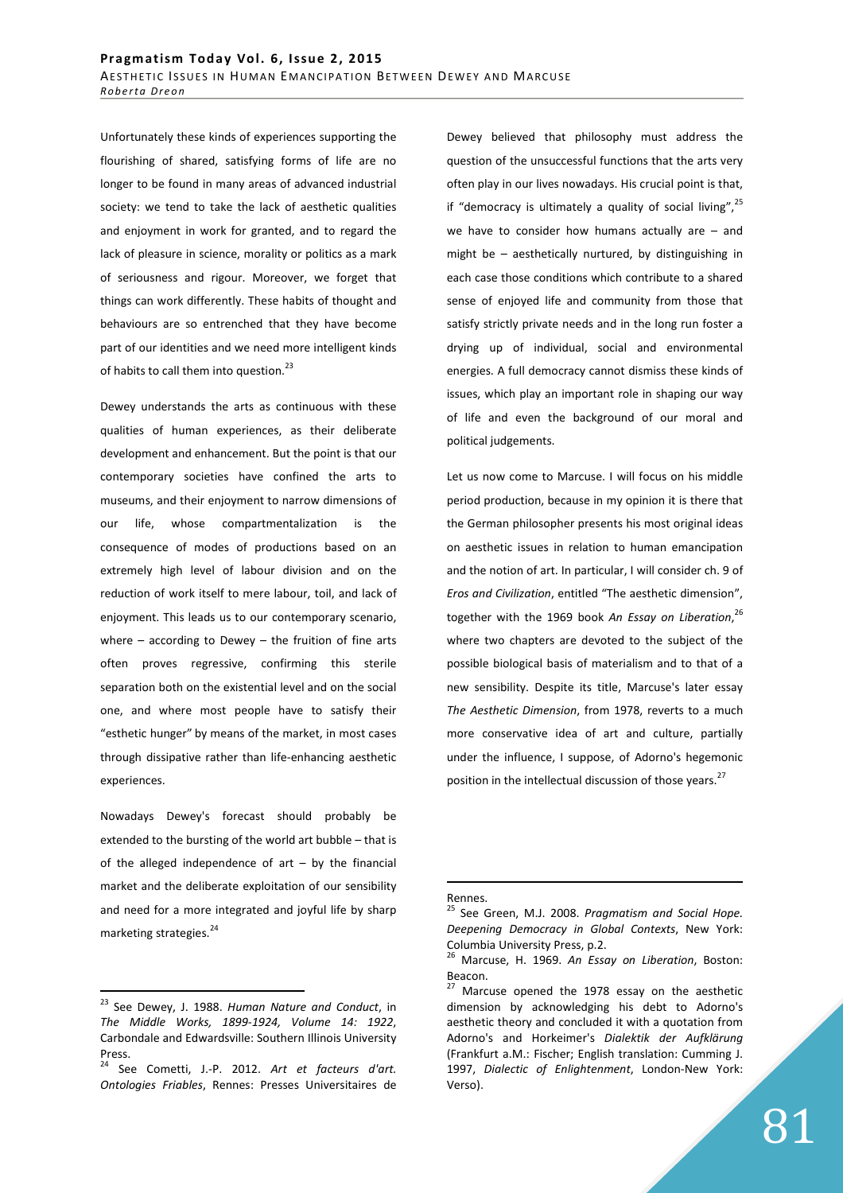Unfortunately these kinds of experiences supporting the flourishing of shared, satisfying forms of life are no longer to be found in many areas of advanced industrial society: we tend to take the lack of aesthetic qualities and enjoyment in work for granted, and to regard the lack of pleasure in science, morality or politics as a mark of seriousness and rigour. Moreover, we forget that things can work differently. These habits of thought and behaviours are so entrenched that they have become part of our identities and we need more intelligent kinds of habits to call them into question.<sup>23</sup>

Dewey understands the arts as continuous with these qualities of human experiences, as their deliberate development and enhancement. But the point is that our contemporary societies have confined the arts to museums, and their enjoyment to narrow dimensions of our life, whose compartmentalization is the consequence of modes of productions based on an extremely high level of labour division and on the reduction of work itself to mere labour, toil, and lack of enjoyment. This leads us to our contemporary scenario, where  $-$  according to Dewey  $-$  the fruition of fine arts often proves regressive, confirming this sterile separation both on the existential level and on the social one, and where most people have to satisfy their "esthetic hunger" by means of the market, in most cases through dissipative rather than life-enhancing aesthetic experiences.

Nowadays Dewey's forecast should probably be extended to the bursting of the world art bubble – that is of the alleged independence of  $art - by$  the financial market and the deliberate exploitation of our sensibility and need for a more integrated and joyful life by sharp marketing strategies.<sup>24</sup>

 $\overline{a}$ 

Dewey believed that philosophy must address the question of the unsuccessful functions that the arts very often play in our lives nowadays. His crucial point is that, if "democracy is ultimately a quality of social living",  $25$ we have to consider how humans actually are – and might be – aesthetically nurtured, by distinguishing in each case those conditions which contribute to a shared sense of enjoyed life and community from those that satisfy strictly private needs and in the long run foster a drying up of individual, social and environmental energies. A full democracy cannot dismiss these kinds of issues, which play an important role in shaping our way of life and even the background of our moral and political judgements.

Let us now come to Marcuse. I will focus on his middle period production, because in my opinion it is there that the German philosopher presents his most original ideas on aesthetic issues in relation to human emancipation and the notion of art. In particular, I will consider ch. 9 of *Eros and Civilization*, entitled "The aesthetic dimension", together with the 1969 book *An Essay on Liberation*, 26 where two chapters are devoted to the subject of the possible biological basis of materialism and to that of a new sensibility. Despite its title, Marcuse's later essay *The Aesthetic Dimension*, from 1978, reverts to a much more conservative idea of art and culture, partially under the influence, I suppose, of Adorno's hegemonic position in the intellectual discussion of those years.<sup>27</sup>

## Rennes.

<sup>23</sup> See Dewey, J. 1988. *Human Nature and Conduct*, in *The Middle Works, 1899-1924, Volume 14: 1922*, Carbondale and Edwardsville: Southern Illinois University Press.

<sup>24</sup> See Cometti, J.-P. 2012. *Art et facteurs d'art. Ontologies Friables*, Rennes: Presses Universitaires de

<sup>25</sup> See Green, M.J. 2008. *Pragmatism and Social Hope. Deepening Democracy in Global Contexts*, New York: Columbia University Press, p.2.

<sup>26</sup> Marcuse, H. 1969. *An Essay on Liberation*, Boston: Beacon.

Marcuse opened the 1978 essay on the aesthetic dimension by acknowledging his debt to Adorno's aesthetic theory and concluded it with a quotation from Adorno's and Horkeimer's *Dialektik der Aufklärung* (Frankfurt a.M.: Fischer; English translation: Cumming J. 1997, *Dialectic of Enlightenment*, London-New York: Verso).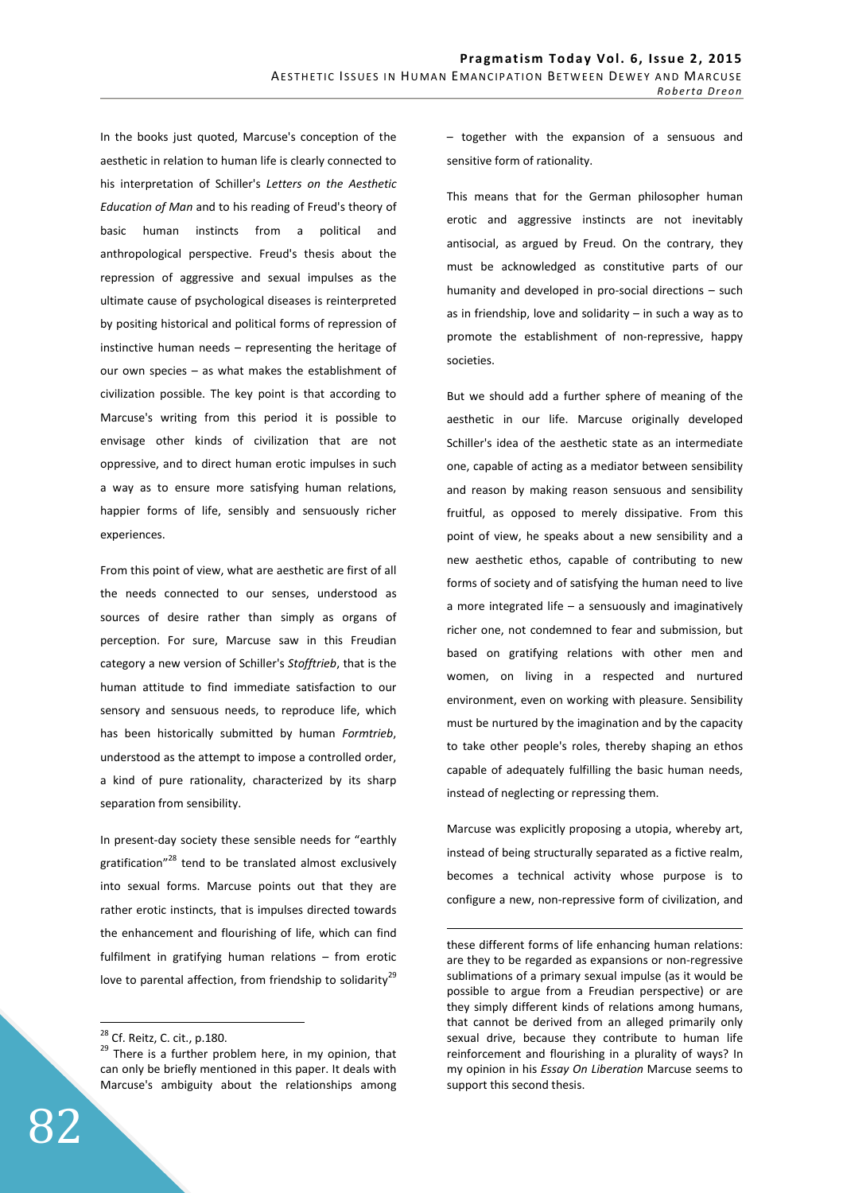In the books just quoted, Marcuse's conception of the aesthetic in relation to human life is clearly connected to his interpretation of Schiller's *Letters on the Aesthetic Education of Man* and to his reading of Freud's theory of basic human instincts from a political and anthropological perspective. Freud's thesis about the repression of aggressive and sexual impulses as the ultimate cause of psychological diseases is reinterpreted by positing historical and political forms of repression of instinctive human needs – representing the heritage of our own species – as what makes the establishment of civilization possible. The key point is that according to Marcuse's writing from this period it is possible to envisage other kinds of civilization that are not oppressive, and to direct human erotic impulses in such a way as to ensure more satisfying human relations, happier forms of life, sensibly and sensuously richer experiences.

From this point of view, what are aesthetic are first of all the needs connected to our senses, understood as sources of desire rather than simply as organs of perception. For sure, Marcuse saw in this Freudian category a new version of Schiller's *Stofftrieb*, that is the human attitude to find immediate satisfaction to our sensory and sensuous needs, to reproduce life, which has been historically submitted by human *Formtrieb*, understood as the attempt to impose a controlled order, a kind of pure rationality, characterized by its sharp separation from sensibility.

In present-day society these sensible needs for "earthly gratification"<sup>28</sup> tend to be translated almost exclusively into sexual forms. Marcuse points out that they are rather erotic instincts, that is impulses directed towards the enhancement and flourishing of life, which can find fulfilment in gratifying human relations – from erotic love to parental affection, from friendship to solidarity<sup>29</sup>

 $\overline{a}$ 

– together with the expansion of a sensuous and sensitive form of rationality.

This means that for the German philosopher human erotic and aggressive instincts are not inevitably antisocial, as argued by Freud. On the contrary, they must be acknowledged as constitutive parts of our humanity and developed in pro-social directions – such as in friendship, love and solidarity  $-$  in such a way as to promote the establishment of non-repressive, happy societies.

But we should add a further sphere of meaning of the aesthetic in our life. Marcuse originally developed Schiller's idea of the aesthetic state as an intermediate one, capable of acting as a mediator between sensibility and reason by making reason sensuous and sensibility fruitful, as opposed to merely dissipative. From this point of view, he speaks about a new sensibility and a new aesthetic ethos, capable of contributing to new forms of society and of satisfying the human need to live a more integrated life – a sensuously and imaginatively richer one, not condemned to fear and submission, but based on gratifying relations with other men and women, on living in a respected and nurtured environment, even on working with pleasure. Sensibility must be nurtured by the imagination and by the capacity to take other people's roles, thereby shaping an ethos capable of adequately fulfilling the basic human needs, instead of neglecting or repressing them.

Marcuse was explicitly proposing a utopia, whereby art, instead of being structurally separated as a fictive realm, becomes a technical activity whose purpose is to configure a new, non-repressive form of civilization, and

<sup>&</sup>lt;sup>28</sup> Cf. Reitz, C. cit., p.180.

<sup>&</sup>lt;sup>29</sup> There is a further problem here, in my opinion, that can only be briefly mentioned in this paper. It deals with Marcuse's ambiguity about the relationships among

these different forms of life enhancing human relations: are they to be regarded as expansions or non-regressive sublimations of a primary sexual impulse (as it would be possible to argue from a Freudian perspective) or are they simply different kinds of relations among humans, that cannot be derived from an alleged primarily only sexual drive, because they contribute to human life reinforcement and flourishing in a plurality of ways? In my opinion in his *Essay On Liberation* Marcuse seems to support this second thesis.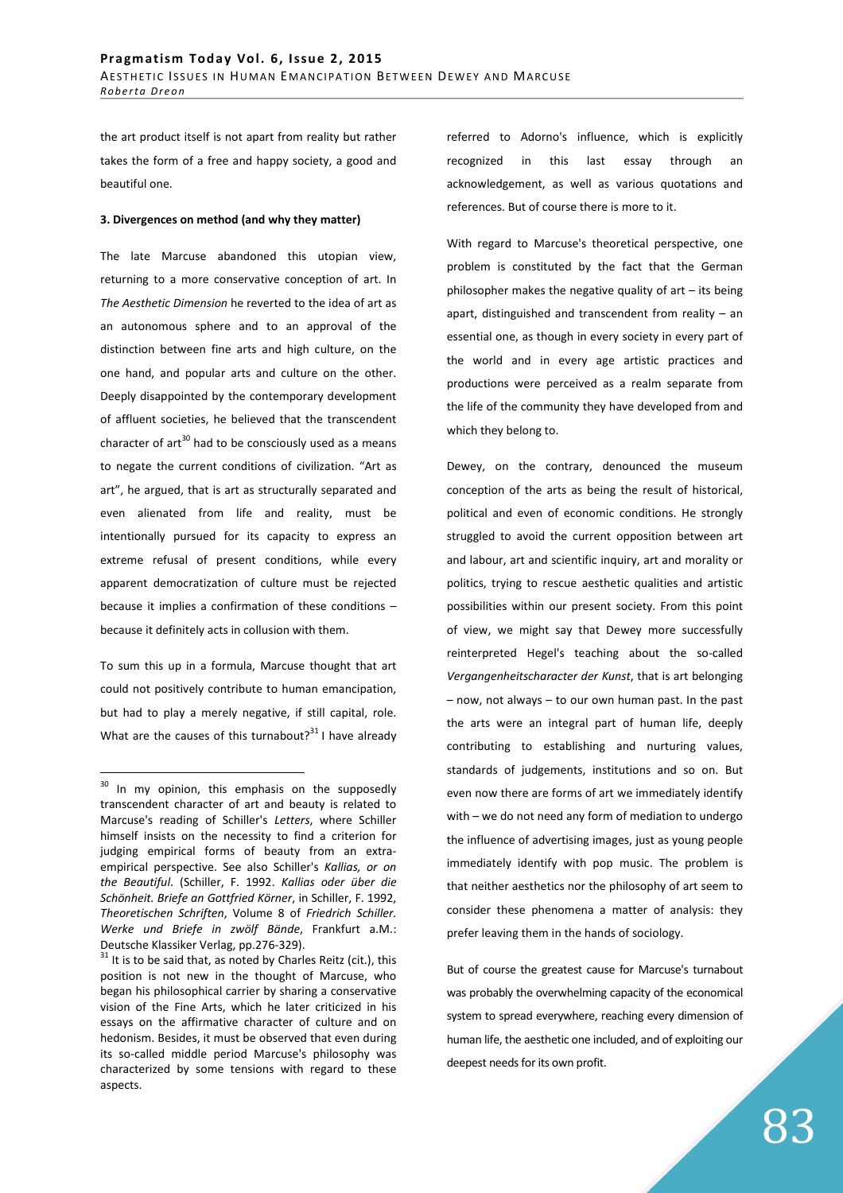the art product itself is not apart from reality but rather takes the form of a free and happy society, a good and beautiful one.

#### **3. Divergences on method (and why they matter)**

The late Marcuse abandoned this utopian view, returning to a more conservative conception of art. In *The Aesthetic Dimension* he reverted to the idea of art as an autonomous sphere and to an approval of the distinction between fine arts and high culture, on the one hand, and popular arts and culture on the other. Deeply disappointed by the contemporary development of affluent societies, he believed that the transcendent character of  $art^{30}$  had to be consciously used as a means to negate the current conditions of civilization. "Art as art", he argued, that is art as structurally separated and even alienated from life and reality, must be intentionally pursued for its capacity to express an extreme refusal of present conditions, while every apparent democratization of culture must be rejected because it implies a confirmation of these conditions – because it definitely acts in collusion with them.

To sum this up in a formula, Marcuse thought that art could not positively contribute to human emancipation, but had to play a merely negative, if still capital, role. What are the causes of this turnabout?<sup>31</sup> I have already

 $\overline{a}$ 

referred to Adorno's influence, which is explicitly recognized in this last essay through an acknowledgement, as well as various quotations and references. But of course there is more to it.

With regard to Marcuse's theoretical perspective, one problem is constituted by the fact that the German philosopher makes the negative quality of  $art - its being$ apart, distinguished and transcendent from reality – an essential one, as though in every society in every part of the world and in every age artistic practices and productions were perceived as a realm separate from the life of the community they have developed from and which they belong to.

Dewey, on the contrary, denounced the museum conception of the arts as being the result of historical, political and even of economic conditions. He strongly struggled to avoid the current opposition between art and labour, art and scientific inquiry, art and morality or politics, trying to rescue aesthetic qualities and artistic possibilities within our present society. From this point of view, we might say that Dewey more successfully reinterpreted Hegel's teaching about the so-called *Vergangenheitscharacter der Kunst*, that is art belonging – now, not always – to our own human past. In the past the arts were an integral part of human life, deeply contributing to establishing and nurturing values, standards of judgements, institutions and so on. But even now there are forms of art we immediately identify with – we do not need any form of mediation to undergo the influence of advertising images, just as young people immediately identify with pop music. The problem is that neither aesthetics nor the philosophy of art seem to consider these phenomena a matter of analysis: they prefer leaving them in the hands of sociology.

But of course the greatest cause for Marcuse's turnabout was probably the overwhelming capacity of the economical system to spread everywhere, reaching every dimension of human life, the aesthetic one included, and of exploiting our deepest needs for its own profit.

<sup>&</sup>lt;sup>30</sup> In my opinion, this emphasis on the supposedly transcendent character of art and beauty is related to Marcuse's reading of Schiller's *Letters*, where Schiller himself insists on the necessity to find a criterion for judging empirical forms of beauty from an extraempirical perspective. See also Schiller's *Kallias, or on the Beautiful*. (Schiller, F. 1992. *Kallias oder über die Schönheit. Briefe an Gottfried Körner*, in Schiller, F. 1992, *Theoretischen Schriften*, Volume 8 of *Friedrich Schiller. Werke und Briefe in zwölf Bände*, Frankfurt a.M.: Deutsche Klassiker Verlag, pp.276-329).

 $31$  It is to be said that, as noted by Charles Reitz (cit.), this position is not new in the thought of Marcuse, who began his philosophical carrier by sharing a conservative vision of the Fine Arts, which he later criticized in his essays on the affirmative character of culture and on hedonism. Besides, it must be observed that even during its so-called middle period Marcuse's philosophy was characterized by some tensions with regard to these aspects.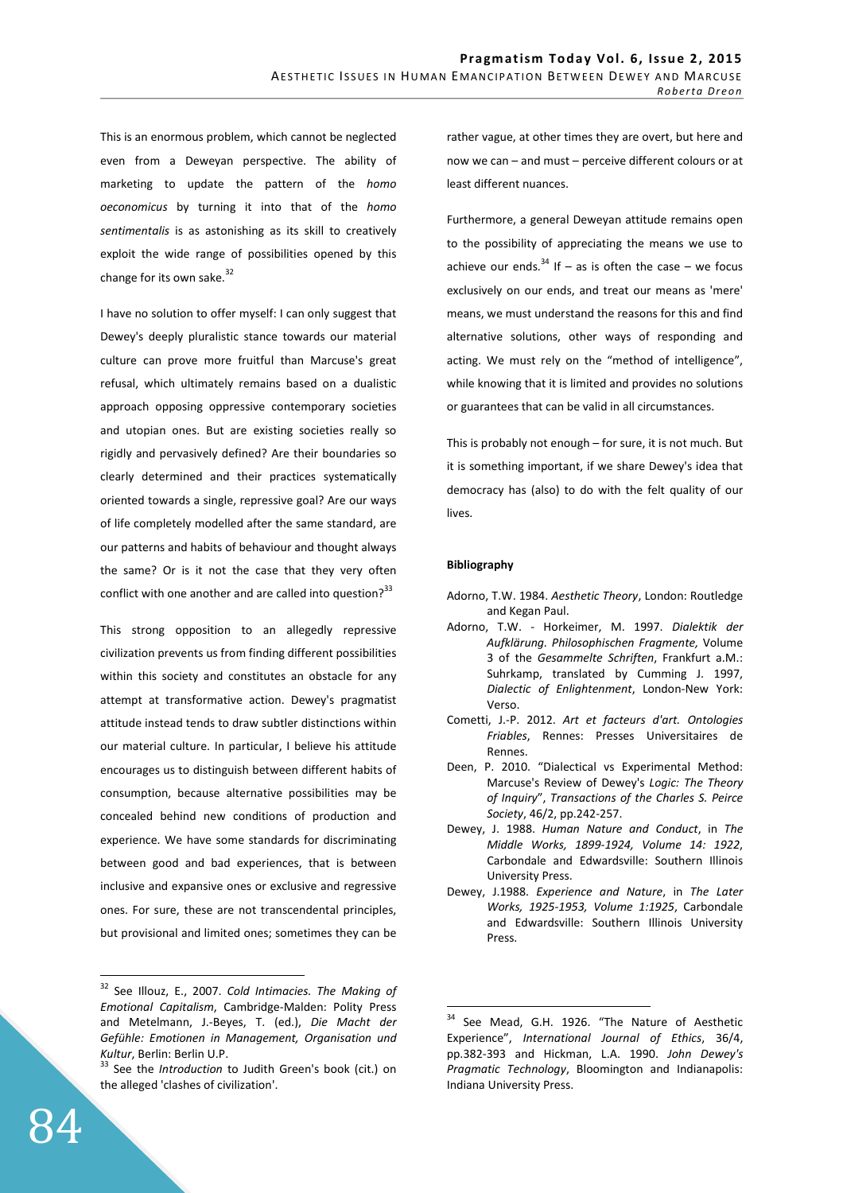This is an enormous problem, which cannot be neglected even from a Deweyan perspective. The ability of marketing to update the pattern of the *homo oeconomicus* by turning it into that of the *homo sentimentalis* is as astonishing as its skill to creatively exploit the wide range of possibilities opened by this change for its own sake.<sup>32</sup>

I have no solution to offer myself: I can only suggest that Dewey's deeply pluralistic stance towards our material culture can prove more fruitful than Marcuse's great refusal, which ultimately remains based on a dualistic approach opposing oppressive contemporary societies and utopian ones. But are existing societies really so rigidly and pervasively defined? Are their boundaries so clearly determined and their practices systematically oriented towards a single, repressive goal? Are our ways of life completely modelled after the same standard, are our patterns and habits of behaviour and thought always the same? Or is it not the case that they very often conflict with one another and are called into question? $33$ 

This strong opposition to an allegedly repressive civilization prevents us from finding different possibilities within this society and constitutes an obstacle for any attempt at transformative action. Dewey's pragmatist attitude instead tends to draw subtler distinctions within our material culture. In particular, I believe his attitude encourages us to distinguish between different habits of consumption, because alternative possibilities may be concealed behind new conditions of production and experience. We have some standards for discriminating between good and bad experiences, that is between inclusive and expansive ones or exclusive and regressive ones. For sure, these are not transcendental principles, but provisional and limited ones; sometimes they can be

<sup>32</sup> See Illouz, E., 2007. *Cold Intimacies. The Making of Emotional Capitalism*, Cambridge-Malden: Polity Press and Metelmann, J.-Beyes, T. (ed.), *Die Macht der Gefühle: Emotionen in Management, Organisation und Kultur*, Berlin: Berlin U.P.

rather vague, at other times they are overt, but here and now we can – and must – perceive different colours or at least different nuances.

Furthermore, a general Deweyan attitude remains open to the possibility of appreciating the means we use to achieve our ends.<sup>34</sup> If – as is often the case – we focus exclusively on our ends, and treat our means as 'mere' means, we must understand the reasons for this and find alternative solutions, other ways of responding and acting. We must rely on the "method of intelligence", while knowing that it is limited and provides no solutions or guarantees that can be valid in all circumstances.

This is probably not enough – for sure, it is not much. But it is something important, if we share Dewey's idea that democracy has (also) to do with the felt quality of our lives.

## **Bibliography**

 $\overline{a}$ 

- Adorno, T.W. 1984. *Aesthetic Theory*, London: Routledge and Kegan Paul.
- Adorno, T.W. Horkeimer, M. 1997. *Dialektik der Aufklärung. Philosophischen Fragmente,* Volume 3 of the *Gesammelte Schriften*, Frankfurt a.M.: Suhrkamp, translated by Cumming J. 1997, *Dialectic of Enlightenment*, London-New York: Verso.
- Cometti, J.-P. 2012. *Art et facteurs d'art. Ontologies Friables*, Rennes: Presses Universitaires de Rennes.
- Deen, P. 2010. "Dialectical vs Experimental Method: Marcuse's Review of Dewey's *Logic: The Theory of Inquiry*", *Transactions of the Charles S. Peirce Society*, 46/2, pp.242-257.
- Dewey, J. 1988. *Human Nature and Conduct*, in *The Middle Works, 1899-1924, Volume 14: 1922*, Carbondale and Edwardsville: Southern Illinois University Press.
- Dewey, J.1988. *Experience and Nature*, in *The Later Works, 1925-1953, Volume 1:1925*, Carbondale and Edwardsville: Southern Illinois University Press.

<sup>33</sup> See the *Introduction* to Judith Green's book (cit.) on the alleged 'clashes of civilization'.

<sup>&</sup>lt;sup>34</sup> See Mead, G.H. 1926. "The Nature of Aesthetic Experience", *International Journal of Ethics*, 36/4, pp.382-393 and Hickman, L.A. 1990. *John Dewey's Pragmatic Technology*, Bloomington and Indianapolis: Indiana University Press.